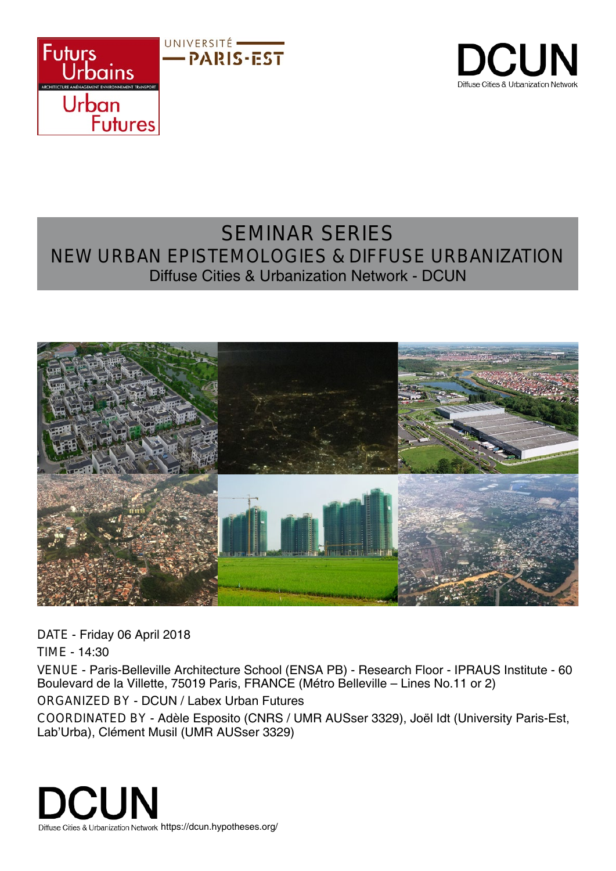



## SEMINAR SERIES NEW URBAN EPISTEMOLOGIES & DIFFUSE URBANIZATION Diffuse Cities & Urbanization Network - DCUN



DATE - Friday 06 April 2018

TIME - 14:30

VENUE - Paris-Belleville Architecture School (ENSA PB) - Research Floor - IPRAUS Institute - 60 Boulevard de la Villette, 75019 Paris, FRANCE (Métro Belleville – Lines No.11 or 2) ORGANIZED BY - DCUN / Labex Urban Futures

COORDINATED BY - Adèle Esposito (CNRS / UMR AUSser 3329), Joël Idt (University Paris-Est, Lab'Urba), Clément Musil (UMR AUSser 3329)

**DCUN** Diffuse Cities & Urbanization Network https://dcun.hypotheses.org/